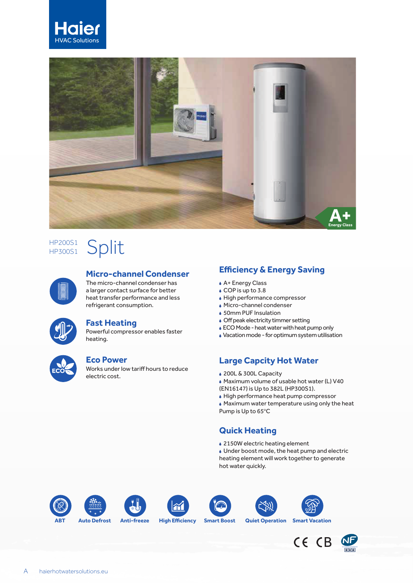



HP200S1

# HP<sub>300S1</sub> Split

#### **Micro-channel Condenser**

The micro-channel condenser has a larger contact surface for better heat transfer performance and less refrigerant consumption.

| ∕¶⊧ |  |
|-----|--|
|     |  |

#### **Fast Heating**

Powerful compressor enables faster heating.



### **Eco Power**

Works under low tariff hours to reduce electric cost.

## **Efficiency & Energy Saving**

- A+ Energy Class
- COP is up to 3.8
- High performance compressor
- Micro-channel condenser
- 50mm PUF Insulation
- Off peak electricity timmer setting
- ECO Mode heat water with heat pump only Vacation mode - for optimum system utilisation

## **Large Capcity Hot Water**

- 200L & 300L Capacity
- Maximum volume of usable hot water (L) V40 (EN16147) is Up to 382L (HP300S1).
- High performance heat pump compressor
- Maximum water temperature using only the heat Pump is Up to 65°C

## **Quick Heating**

- 2150W electric heating element
- Under boost mode, the heat pump and electric heating element will work together to generate hot water quickly.

















**ABT Auto Defrost Anti-freeze High Efficiency Smart Boost Quiet Operation Smart Vacation**